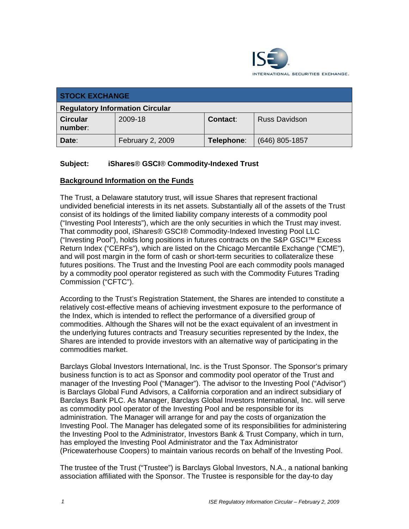

| <b>STOCK EXCHANGE</b>                  |                  |                 |                      |
|----------------------------------------|------------------|-----------------|----------------------|
| <b>Regulatory Information Circular</b> |                  |                 |                      |
| <b>Circular</b><br>number:             | 2009-18          | <b>Contact:</b> | <b>Russ Davidson</b> |
| Date:                                  | February 2, 2009 | Telephone:      | $(646)$ 805-1857     |

## **Subject: iShares**® **GSCI**® **Commodity-Indexed Trust**

#### **Background Information on the Funds**

The Trust, a Delaware statutory trust, will issue Shares that represent fractional undivided beneficial interests in its net assets. Substantially all of the assets of the Trust consist of its holdings of the limited liability company interests of a commodity pool ("Investing Pool Interests"), which are the only securities in which the Trust may invest. That commodity pool, iShares® GSCI® Commodity-Indexed Investing Pool LLC ("Investing Pool"), holds long positions in futures contracts on the S&P GSCI™ Excess Return Index ("CERFs"), which are listed on the Chicago Mercantile Exchange ("CME"), and will post margin in the form of cash or short-term securities to collateralize these futures positions. The Trust and the Investing Pool are each commodity pools managed by a commodity pool operator registered as such with the Commodity Futures Trading Commission ("CFTC").

According to the Trust's Registration Statement, the Shares are intended to constitute a relatively cost-effective means of achieving investment exposure to the performance of the Index, which is intended to reflect the performance of a diversified group of commodities. Although the Shares will not be the exact equivalent of an investment in the underlying futures contracts and Treasury securities represented by the Index, the Shares are intended to provide investors with an alternative way of participating in the commodities market.

Barclays Global Investors International, Inc. is the Trust Sponsor. The Sponsor's primary business function is to act as Sponsor and commodity pool operator of the Trust and manager of the Investing Pool ("Manager"). The advisor to the Investing Pool ("Advisor") is Barclays Global Fund Advisors, a California corporation and an indirect subsidiary of Barclays Bank PLC. As Manager, Barclays Global Investors International, Inc. will serve as commodity pool operator of the Investing Pool and be responsible for its administration. The Manager will arrange for and pay the costs of organization the Investing Pool. The Manager has delegated some of its responsibilities for administering the Investing Pool to the Administrator, Investors Bank & Trust Company, which in turn, has employed the Investing Pool Administrator and the Tax Administrator (Pricewaterhouse Coopers) to maintain various records on behalf of the Investing Pool.

The trustee of the Trust ("Trustee") is Barclays Global Investors, N.A., a national banking association affiliated with the Sponsor. The Trustee is responsible for the day-to day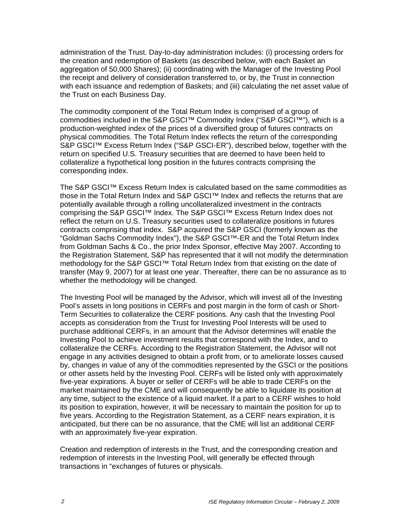administration of the Trust. Day-to-day administration includes: (i) processing orders for the creation and redemption of Baskets (as described below, with each Basket an aggregation of 50,000 Shares); (ii) coordinating with the Manager of the Investing Pool the receipt and delivery of consideration transferred to, or by, the Trust in connection with each issuance and redemption of Baskets; and (iii) calculating the net asset value of the Trust on each Business Day.

The commodity component of the Total Return Index is comprised of a group of commodities included in the S&P GSCI™ Commodity Index ("S&P GSCI™"), which is a production-weighted index of the prices of a diversified group of futures contracts on physical commodities. The Total Return Index reflects the return of the corresponding S&P GSCI<sup>™</sup> Excess Return Index ("S&P GSCI-ER"), described below, together with the return on specified U.S. Treasury securities that are deemed to have been held to collateralize a hypothetical long position in the futures contracts comprising the corresponding index.

The S&P GSCI™ Excess Return Index is calculated based on the same commodities as those in the Total Return Index and S&P GSCI™ Index and reflects the returns that are potentially available through a rolling uncollateralized investment in the contracts comprising the S&P GSCI™ Index. The S&P GSCI™ Excess Return Index does not reflect the return on U.S. Treasury securities used to collateralize positions in futures contracts comprising that index. S&P acquired the S&P GSCI (formerly known as the "Goldman Sachs Commodity Index"), the S&P GSCI™-ER and the Total Return Index from Goldman Sachs & Co., the prior Index Sponsor, effective May 2007. According to the Registration Statement, S&P has represented that it will not modify the determination methodology for the S&P GSCI™ Total Return Index from that existing on the date of transfer (May 9, 2007) for at least one year. Thereafter, there can be no assurance as to whether the methodology will be changed.

The Investing Pool will be managed by the Advisor, which will invest all of the Investing Pool's assets in long positions in CERFs and post margin in the form of cash or Short-Term Securities to collateralize the CERF positions. Any cash that the Investing Pool accepts as consideration from the Trust for Investing Pool Interests will be used to purchase additional CERFs, in an amount that the Advisor determines will enable the Investing Pool to achieve investment results that correspond with the Index, and to collateralize the CERFs. According to the Registration Statement, the Advisor will not engage in any activities designed to obtain a profit from, or to ameliorate losses caused by, changes in value of any of the commodities represented by the GSCI or the positions or other assets held by the Investing Pool. CERFs will be listed only with approximately five-year expirations. A buyer or seller of CERFs will be able to trade CERFs on the market maintained by the CME and will consequently be able to liquidate its position at any time, subject to the existence of a liquid market. If a part to a CERF wishes to hold its position to expiration, however, it will be necessary to maintain the position for up to five years. According to the Registration Statement, as a CERF nears expiration, it is anticipated, but there can be no assurance, that the CME will list an additional CERF with an approximately five-year expiration.

Creation and redemption of interests in the Trust, and the corresponding creation and redemption of interests in the Investing Pool, will generally be effected through transactions in "exchanges of futures or physicals.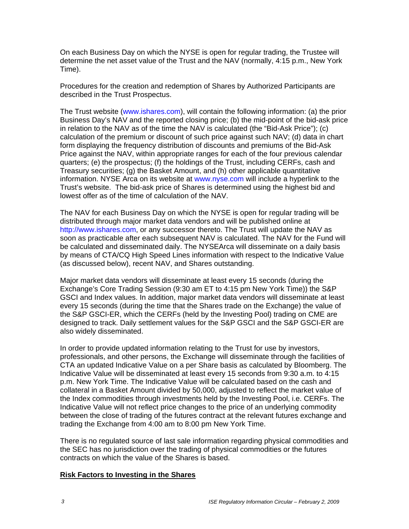On each Business Day on which the NYSE is open for regular trading, the Trustee will determine the net asset value of the Trust and the NAV (normally, 4:15 p.m., New York Time).

Procedures for the creation and redemption of Shares by Authorized Participants are described in the Trust Prospectus.

The Trust website (www.ishares.com), will contain the following information: (a) the prior Business Day's NAV and the reported closing price; (b) the mid-point of the bid-ask price in relation to the NAV as of the time the NAV is calculated (the "Bid-Ask Price"); (c) calculation of the premium or discount of such price against such NAV; (d) data in chart form displaying the frequency distribution of discounts and premiums of the Bid-Ask Price against the NAV, within appropriate ranges for each of the four previous calendar quarters; (e) the prospectus; (f) the holdings of the Trust, including CERFs, cash and Treasury securities; (g) the Basket Amount, and (h) other applicable quantitative information. NYSE Arca on its website at www.nyse.com will include a hyperlink to the Trust's website. The bid-ask price of Shares is determined using the highest bid and lowest offer as of the time of calculation of the NAV.

The NAV for each Business Day on which the NYSE is open for regular trading will be distributed through major market data vendors and will be published online at http://www.ishares.com, or any successor thereto. The Trust will update the NAV as soon as practicable after each subsequent NAV is calculated. The NAV for the Fund will be calculated and disseminated daily. The NYSEArca will disseminate on a daily basis by means of CTA/CQ High Speed Lines information with respect to the Indicative Value (as discussed below), recent NAV, and Shares outstanding.

Major market data vendors will disseminate at least every 15 seconds (during the Exchange's Core Trading Session (9:30 am ET to 4:15 pm New York Time)) the S&P GSCI and Index values. In addition, major market data vendors will disseminate at least every 15 seconds (during the time that the Shares trade on the Exchange) the value of the S&P GSCI-ER, which the CERFs (held by the Investing Pool) trading on CME are designed to track. Daily settlement values for the S&P GSCI and the S&P GSCI-ER are also widely disseminated.

In order to provide updated information relating to the Trust for use by investors, professionals, and other persons, the Exchange will disseminate through the facilities of CTA an updated Indicative Value on a per Share basis as calculated by Bloomberg. The Indicative Value will be disseminated at least every 15 seconds from 9:30 a.m. to 4:15 p.m. New York Time. The Indicative Value will be calculated based on the cash and collateral in a Basket Amount divided by 50,000, adjusted to reflect the market value of the Index commodities through investments held by the Investing Pool, i.e. CERFs. The Indicative Value will not reflect price changes to the price of an underlying commodity between the close of trading of the futures contract at the relevant futures exchange and trading the Exchange from 4:00 am to 8:00 pm New York Time.

There is no regulated source of last sale information regarding physical commodities and the SEC has no jurisdiction over the trading of physical commodities or the futures contracts on which the value of the Shares is based.

#### **Risk Factors to Investing in the Shares**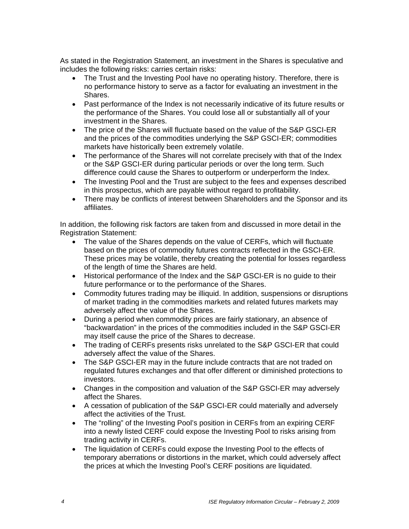As stated in the Registration Statement, an investment in the Shares is speculative and includes the following risks: carries certain risks:

- The Trust and the Investing Pool have no operating history. Therefore, there is no performance history to serve as a factor for evaluating an investment in the Shares.
- Past performance of the Index is not necessarily indicative of its future results or the performance of the Shares. You could lose all or substantially all of your investment in the Shares.
- The price of the Shares will fluctuate based on the value of the S&P GSCI-ER and the prices of the commodities underlying the S&P GSCI-ER; commodities markets have historically been extremely volatile.
- The performance of the Shares will not correlate precisely with that of the Index or the S&P GSCI-ER during particular periods or over the long term. Such difference could cause the Shares to outperform or underperform the Index.
- The Investing Pool and the Trust are subject to the fees and expenses described in this prospectus, which are payable without regard to profitability.
- There may be conflicts of interest between Shareholders and the Sponsor and its affiliates.

In addition, the following risk factors are taken from and discussed in more detail in the Registration Statement:

- The value of the Shares depends on the value of CERFs, which will fluctuate based on the prices of commodity futures contracts reflected in the GSCI-ER. These prices may be volatile, thereby creating the potential for losses regardless of the length of time the Shares are held.
- Historical performance of the Index and the S&P GSCI-ER is no guide to their future performance or to the performance of the Shares.
- Commodity futures trading may be illiquid. In addition, suspensions or disruptions of market trading in the commodities markets and related futures markets may adversely affect the value of the Shares.
- During a period when commodity prices are fairly stationary, an absence of "backwardation" in the prices of the commodities included in the S&P GSCI-ER may itself cause the price of the Shares to decrease.
- The trading of CERFs presents risks unrelated to the S&P GSCI-ER that could adversely affect the value of the Shares.
- The S&P GSCI-ER may in the future include contracts that are not traded on regulated futures exchanges and that offer different or diminished protections to investors.
- Changes in the composition and valuation of the S&P GSCI-ER may adversely affect the Shares.
- A cessation of publication of the S&P GSCI-ER could materially and adversely affect the activities of the Trust.
- The "rolling" of the Investing Pool's position in CERFs from an expiring CERF into a newly listed CERF could expose the Investing Pool to risks arising from trading activity in CERFs.
- The liquidation of CERFs could expose the Investing Pool to the effects of temporary aberrations or distortions in the market, which could adversely affect the prices at which the Investing Pool's CERF positions are liquidated.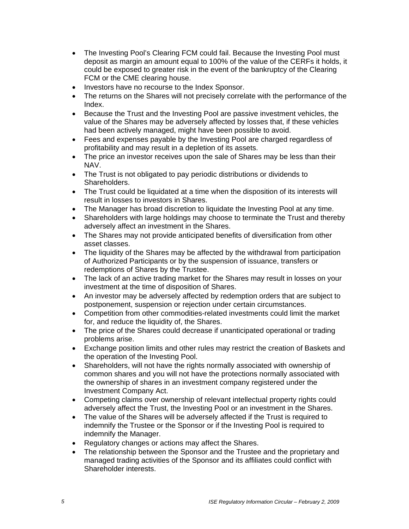- The Investing Pool's Clearing FCM could fail. Because the Investing Pool must deposit as margin an amount equal to 100% of the value of the CERFs it holds, it could be exposed to greater risk in the event of the bankruptcy of the Clearing FCM or the CME clearing house.
- Investors have no recourse to the Index Sponsor.
- The returns on the Shares will not precisely correlate with the performance of the Index.
- Because the Trust and the Investing Pool are passive investment vehicles, the value of the Shares may be adversely affected by losses that, if these vehicles had been actively managed, might have been possible to avoid.
- Fees and expenses payable by the Investing Pool are charged regardless of profitability and may result in a depletion of its assets.
- The price an investor receives upon the sale of Shares may be less than their NAV.
- The Trust is not obligated to pay periodic distributions or dividends to Shareholders.
- The Trust could be liquidated at a time when the disposition of its interests will result in losses to investors in Shares.
- The Manager has broad discretion to liquidate the Investing Pool at any time.
- Shareholders with large holdings may choose to terminate the Trust and thereby adversely affect an investment in the Shares.
- The Shares may not provide anticipated benefits of diversification from other asset classes.
- The liquidity of the Shares may be affected by the withdrawal from participation of Authorized Participants or by the suspension of issuance, transfers or redemptions of Shares by the Trustee.
- The lack of an active trading market for the Shares may result in losses on your investment at the time of disposition of Shares.
- An investor may be adversely affected by redemption orders that are subject to postponement, suspension or rejection under certain circumstances.
- Competition from other commodities-related investments could limit the market for, and reduce the liquidity of, the Shares.
- The price of the Shares could decrease if unanticipated operational or trading problems arise.
- Exchange position limits and other rules may restrict the creation of Baskets and the operation of the Investing Pool.
- Shareholders, will not have the rights normally associated with ownership of common shares and you will not have the protections normally associated with the ownership of shares in an investment company registered under the Investment Company Act.
- Competing claims over ownership of relevant intellectual property rights could adversely affect the Trust, the Investing Pool or an investment in the Shares.
- The value of the Shares will be adversely affected if the Trust is required to indemnify the Trustee or the Sponsor or if the Investing Pool is required to indemnify the Manager.
- Regulatory changes or actions may affect the Shares.
- The relationship between the Sponsor and the Trustee and the proprietary and managed trading activities of the Sponsor and its affiliates could conflict with Shareholder interests.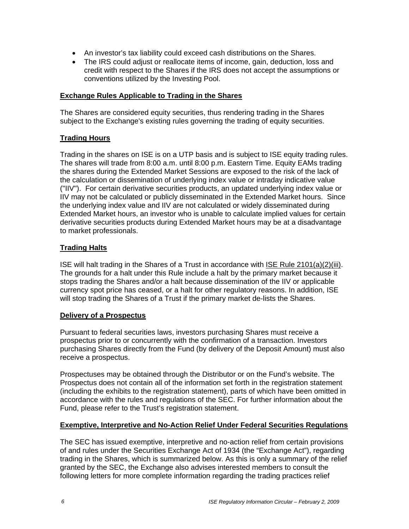- An investor's tax liability could exceed cash distributions on the Shares.
- The IRS could adjust or reallocate items of income, gain, deduction, loss and credit with respect to the Shares if the IRS does not accept the assumptions or conventions utilized by the Investing Pool.

#### **Exchange Rules Applicable to Trading in the Shares**

The Shares are considered equity securities, thus rendering trading in the Shares subject to the Exchange's existing rules governing the trading of equity securities.

#### **Trading Hours**

Trading in the shares on ISE is on a UTP basis and is subject to ISE equity trading rules. The shares will trade from 8:00 a.m. until 8:00 p.m. Eastern Time. Equity EAMs trading the shares during the Extended Market Sessions are exposed to the risk of the lack of the calculation or dissemination of underlying index value or intraday indicative value ("IIV"). For certain derivative securities products, an updated underlying index value or IIV may not be calculated or publicly disseminated in the Extended Market hours. Since the underlying index value and IIV are not calculated or widely disseminated during Extended Market hours, an investor who is unable to calculate implied values for certain derivative securities products during Extended Market hours may be at a disadvantage to market professionals.

#### **Trading Halts**

ISE will halt trading in the Shares of a Trust in accordance with ISE Rule 2101(a)(2)(iii). The grounds for a halt under this Rule include a halt by the primary market because it stops trading the Shares and/or a halt because dissemination of the IIV or applicable currency spot price has ceased, or a halt for other regulatory reasons. In addition, ISE will stop trading the Shares of a Trust if the primary market de-lists the Shares.

#### **Delivery of a Prospectus**

Pursuant to federal securities laws, investors purchasing Shares must receive a prospectus prior to or concurrently with the confirmation of a transaction. Investors purchasing Shares directly from the Fund (by delivery of the Deposit Amount) must also receive a prospectus.

Prospectuses may be obtained through the Distributor or on the Fund's website. The Prospectus does not contain all of the information set forth in the registration statement (including the exhibits to the registration statement), parts of which have been omitted in accordance with the rules and regulations of the SEC. For further information about the Fund, please refer to the Trust's registration statement.

#### **Exemptive, Interpretive and No-Action Relief Under Federal Securities Regulations**

The SEC has issued exemptive, interpretive and no-action relief from certain provisions of and rules under the Securities Exchange Act of 1934 (the "Exchange Act"), regarding trading in the Shares, which is summarized below. As this is only a summary of the relief granted by the SEC, the Exchange also advises interested members to consult the following letters for more complete information regarding the trading practices relief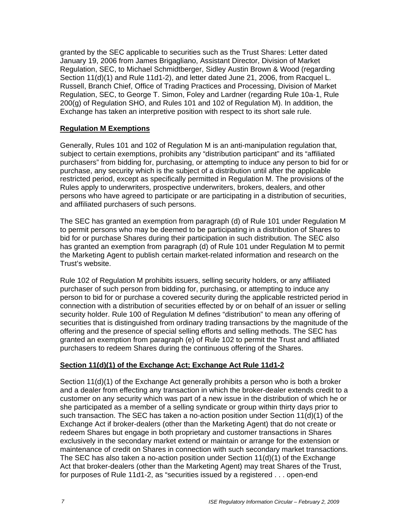granted by the SEC applicable to securities such as the Trust Shares: Letter dated January 19, 2006 from James Brigagliano, Assistant Director, Division of Market Regulation, SEC, to Michael Schmidtberger, Sidley Austin Brown & Wood (regarding Section 11(d)(1) and Rule 11d1-2), and letter dated June 21, 2006, from Racquel L. Russell, Branch Chief, Office of Trading Practices and Processing, Division of Market Regulation, SEC, to George T. Simon, Foley and Lardner (regarding Rule 10a-1, Rule 200(g) of Regulation SHO, and Rules 101 and 102 of Regulation M). In addition, the Exchange has taken an interpretive position with respect to its short sale rule.

### **Regulation M Exemptions**

Generally, Rules 101 and 102 of Regulation M is an anti-manipulation regulation that, subject to certain exemptions, prohibits any "distribution participant" and its "affiliated purchasers" from bidding for, purchasing, or attempting to induce any person to bid for or purchase, any security which is the subject of a distribution until after the applicable restricted period, except as specifically permitted in Regulation M. The provisions of the Rules apply to underwriters, prospective underwriters, brokers, dealers, and other persons who have agreed to participate or are participating in a distribution of securities, and affiliated purchasers of such persons.

The SEC has granted an exemption from paragraph (d) of Rule 101 under Regulation M to permit persons who may be deemed to be participating in a distribution of Shares to bid for or purchase Shares during their participation in such distribution. The SEC also has granted an exemption from paragraph (d) of Rule 101 under Regulation M to permit the Marketing Agent to publish certain market-related information and research on the Trust's website.

Rule 102 of Regulation M prohibits issuers, selling security holders, or any affiliated purchaser of such person from bidding for, purchasing, or attempting to induce any person to bid for or purchase a covered security during the applicable restricted period in connection with a distribution of securities effected by or on behalf of an issuer or selling security holder. Rule 100 of Regulation M defines "distribution" to mean any offering of securities that is distinguished from ordinary trading transactions by the magnitude of the offering and the presence of special selling efforts and selling methods. The SEC has granted an exemption from paragraph (e) of Rule 102 to permit the Trust and affiliated purchasers to redeem Shares during the continuous offering of the Shares.

## **Section 11(d)(1) of the Exchange Act; Exchange Act Rule 11d1-2**

Section 11(d)(1) of the Exchange Act generally prohibits a person who is both a broker and a dealer from effecting any transaction in which the broker-dealer extends credit to a customer on any security which was part of a new issue in the distribution of which he or she participated as a member of a selling syndicate or group within thirty days prior to such transaction. The SEC has taken a no-action position under Section  $11(d)(1)$  of the Exchange Act if broker-dealers (other than the Marketing Agent) that do not create or redeem Shares but engage in both proprietary and customer transactions in Shares exclusively in the secondary market extend or maintain or arrange for the extension or maintenance of credit on Shares in connection with such secondary market transactions. The SEC has also taken a no-action position under Section  $11(d)(1)$  of the Exchange Act that broker-dealers (other than the Marketing Agent) may treat Shares of the Trust, for purposes of Rule 11d1-2, as "securities issued by a registered . . . open-end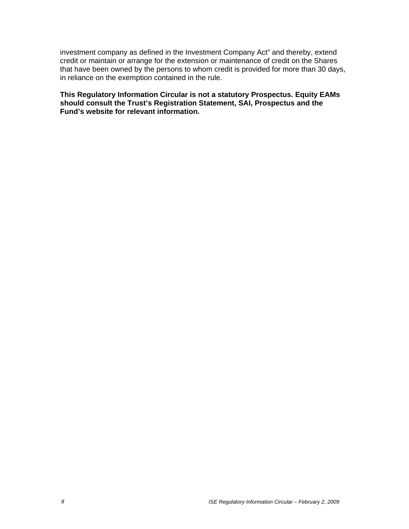investment company as defined in the Investment Company Act" and thereby, extend credit or maintain or arrange for the extension or maintenance of credit on the Shares that have been owned by the persons to whom credit is provided for more than 30 days, in reliance on the exemption contained in the rule.

**This Regulatory Information Circular is not a statutory Prospectus. Equity EAMs should consult the Trust's Registration Statement, SAI, Prospectus and the Fund's website for relevant information.**